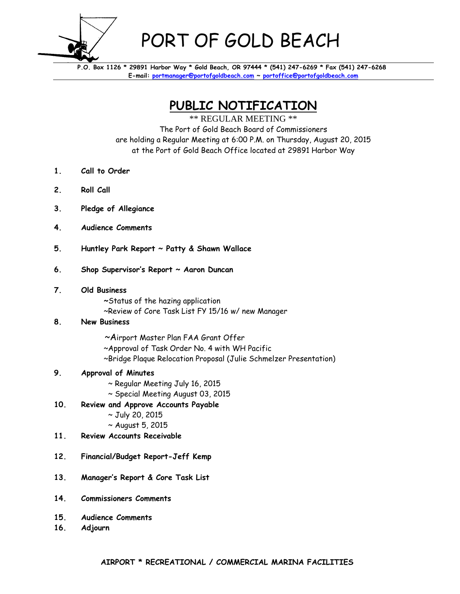

## PORT OF GOLD BEACH

 **P.O. Box 1126 \* 29891 Harbor Way \* Gold Beach, OR 97444 \* (541) 247-6269 \* Fax (541) 247-6268 E-mail: portmanager@portofgoldbeach.com ~ portoffice@portofgoldbeach.com** 

**PUBLIC NOTIFICATION** 

\*\* REGULAR MEETING \*\* The Port of Gold Beach Board of Commissioners are holding a Regular Meeting at 6:00 P.M. on Thursday, August 20, 2015 at the Port of Gold Beach Office located at 29891 Harbor Way

- **1. Call to Order**
- **2. Roll Call**
- **3. Pledge of Allegiance**
- **4. Audience Comments**
- **5. Huntley Park Report ~ Patty & Shawn Wallace**
- **6. Shop Supervisor's Report ~ Aaron Duncan**
- **7. Old Business** 
	- **~**Status of the hazing application
	- ~Review of Core Task List FY 15/16 w/ new Manager

## **8. New Business**

- ~Airport Master Plan FAA Grant Offer
- ~Approval of Task Order No. 4 with WH Pacific
- ~Bridge Plaque Relocation Proposal (Julie Schmelzer Presentation)

## **9. Approval of Minutes**

- ~ Regular Meeting July 16, 2015
- ~ Special Meeting August 03, 2015
- **10. Review and Approve Accounts Payable**
	- ~ July 20, 2015
	- ~ August 5, 2015
- **11. Review Accounts Receivable**
- **12. Financial/Budget Report-Jeff Kemp**
- **13. Manager's Report & Core Task List**
- **14. Commissioners Comments**
- **15. Audience Comments**
- **16. Adjourn**